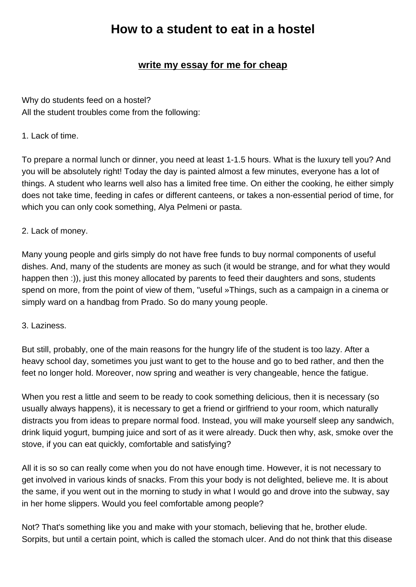## **write my essay for me for cheap**

Why do students feed on a hos[tel?](https://www.buyessayscheap.com/write-my-essay-for-me-cheap.html) All the student troubles come from the following:

## 1. Lack of time.

To prepare a normal lunch or dinner, you need at least 1-1.5 hours. What is the luxury tell you? And you will be absolutely right! Today the day is painted almost a few minutes, everyone has a lot of things. A student who learns well also has a limited free time. On either the cooking, he either simply does not take time, feeding in cafes or different canteens, or takes a non-essential period of time, for which you can only cook something, Alya Pelmeni or pasta.

## 2. Lack of money.

Many young people and girls simply do not have free funds to buy normal components of useful dishes. And, many of the students are money as such (it would be strange, and for what they would happen then :)), just this money allocated by parents to feed their daughters and sons, students spend on more, from the point of view of them, "useful »Things, such as a campaign in a cinema or simply ward on a handbag from Prado. So do many young people.

## 3. Laziness.

But still, probably, one of the main reasons for the hungry life of the student is too lazy. After a heavy school day, sometimes you just want to get to the house and go to bed rather, and then the feet no longer hold. Moreover, now spring and weather is very changeable, hence the fatigue.

When you rest a little and seem to be ready to cook something delicious, then it is necessary (so usually always happens), it is necessary to get a friend or girlfriend to your room, which naturally distracts you from ideas to prepare normal food. Instead, you will make yourself sleep any sandwich, drink liquid yogurt, bumping juice and sort of as it were already. Duck then why, ask, smoke over the stove, if you can eat quickly, comfortable and satisfying?

All it is so so can really come when you do not have enough time. However, it is not necessary to get involved in various kinds of snacks. From this your body is not delighted, believe me. It is about the same, if you went out in the morning to study in what I would go and drove into the subway, say in her home slippers. Would you feel comfortable among people?

Not? That's something like you and make with your stomach, believing that he, brother elude. Sorpits, but until a certain point, which is called the stomach ulcer. And do not think that this disease